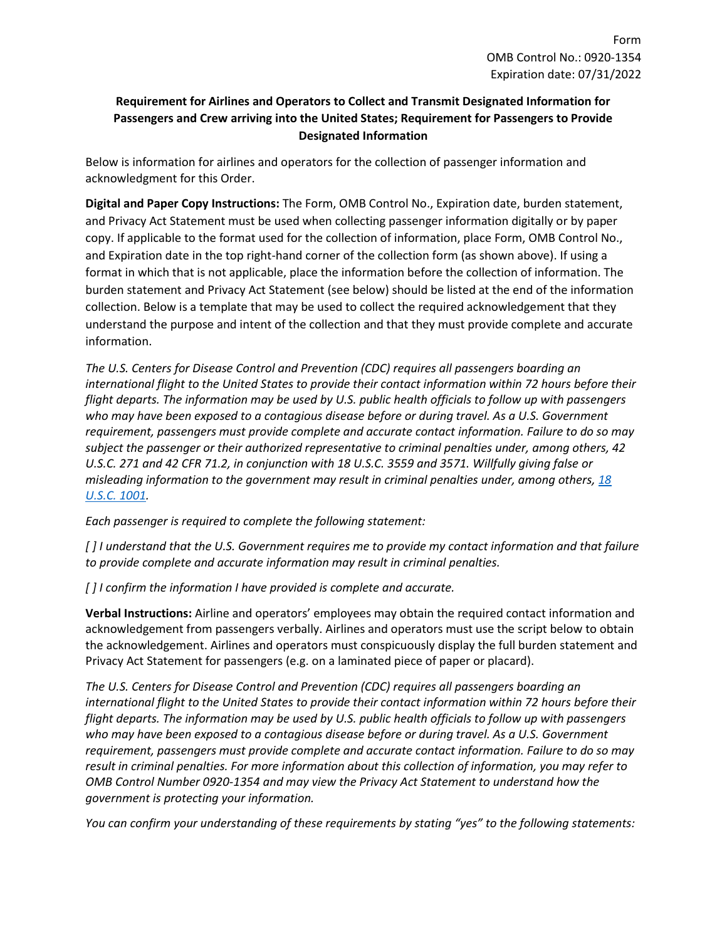## **Requirement for Airlines and Operators to Collect and Transmit Designated Information for Passengers and Crew arriving into the United States; Requirement for Passengers to Provide Designated Information**

Below is information for airlines and operators for the collection of passenger information and acknowledgment for this Order.

**Digital and Paper Copy Instructions:** The Form, OMB Control No., Expiration date, burden statement, and Privacy Act Statement must be used when collecting passenger information digitally or by paper copy. If applicable to the format used for the collection of information, place Form, OMB Control No., and Expiration date in the top right-hand corner of the collection form (as shown above). If using a format in which that is not applicable, place the information before the collection of information. The burden statement and Privacy Act Statement (see below) should be listed at the end of the information collection. Below is a template that may be used to collect the required acknowledgement that they understand the purpose and intent of the collection and that they must provide complete and accurate information.

*The U.S. Centers for Disease Control and Prevention (CDC) requires all passengers boarding an international flight to the United States to provide their contact information within 72 hours before their flight departs. The information may be used by U.S. public health officials to follow up with passengers who may have been exposed to a contagious disease before or during travel. As a U.S. Government requirement, passengers must provide complete and accurate contact information. Failure to do so may subject the passenger or their authorized representative to criminal penalties under, among others, 42 U.S.C. 271 and 42 CFR 71.2, in conjunction with 18 U.S.C. 3559 and 3571. Willfully giving false or misleading information to the government may result in criminal penalties under, among others, [18](https://www.govinfo.gov/content/pkg/USCODE-2019-title18/html/USCODE-2019-title18-partI-chap47-sec1001.htm)  [U.S.C. 1001.](https://www.govinfo.gov/content/pkg/USCODE-2019-title18/html/USCODE-2019-title18-partI-chap47-sec1001.htm)*

*Each passenger is required to complete the following statement:*

*[ ] I understand that the U.S. Government requires me to provide my contact information and that failure to provide complete and accurate information may result in criminal penalties.*

*[ ] I confirm the information I have provided is complete and accurate.*

**Verbal Instructions:** Airline and operators' employees may obtain the required contact information and acknowledgement from passengers verbally. Airlines and operators must use the script below to obtain the acknowledgement. Airlines and operators must conspicuously display the full burden statement and Privacy Act Statement for passengers (e.g. on a laminated piece of paper or placard).

*The U.S. Centers for Disease Control and Prevention (CDC) requires all passengers boarding an international flight to the United States to provide their contact information within 72 hours before their flight departs. The information may be used by U.S. public health officials to follow up with passengers who may have been exposed to a contagious disease before or during travel. As a U.S. Government requirement, passengers must provide complete and accurate contact information. Failure to do so may result in criminal penalties. For more information about this collection of information, you may refer to OMB Control Number 0920-1354 and may view the Privacy Act Statement to understand how the government is protecting your information.*

*You can confirm your understanding of these requirements by stating "yes" to the following statements:*